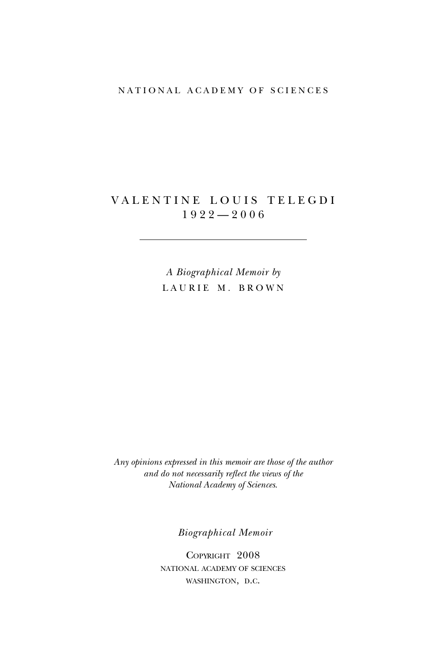## NATIONAL ACADEMY OF SCIENCES

## VALENTINE LOUIS TELEGDI  $1922 - 2006$

*A Biographical Memoir by* LAURIE M. BROWN

*Any opinions expressed in this memoir are those of the author and do not necessarily reflect the views of the National Academy of Sciences*.

*Biographical Memoir*

Copyright 2008 national academy of sciences washington, d.c.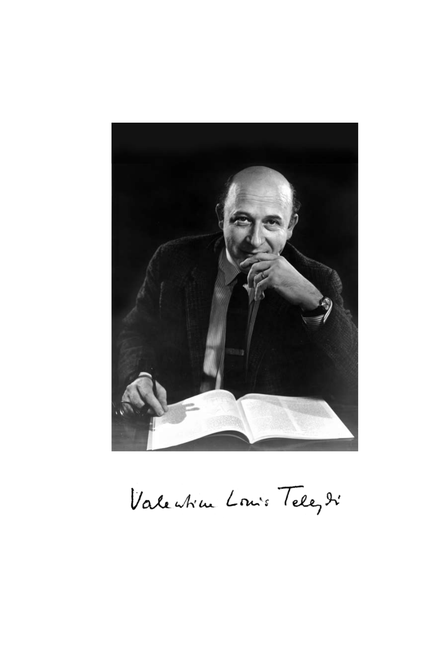

Valentin Louis Telez di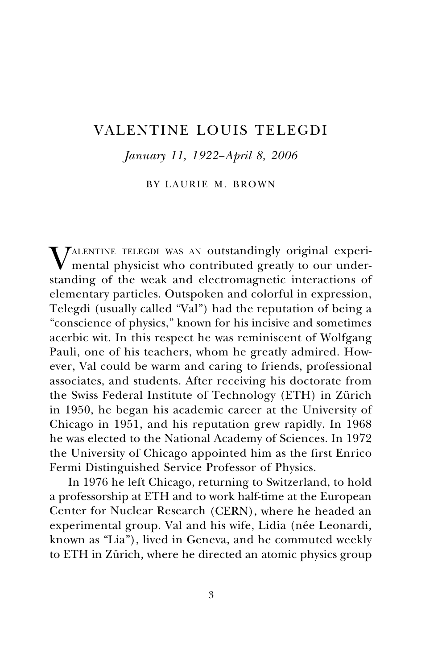# Valentine Louis Telegdi

*January 11, 1922−April 8, 2006*

BY LAURIE M. BROWN

**TALENTINE TELEGDI WAS AN outstandingly original experi**mental physicist who contributed greatly to our understanding of the weak and electromagnetic interactions of elementary particles. Outspoken and colorful in expression, Telegdi (usually called "Val") had the reputation of being a "conscience of physics," known for his incisive and sometimes acerbic wit. In this respect he was reminiscent of Wolfgang Pauli, one of his teachers, whom he greatly admired. However, Val could be warm and caring to friends, professional associates, and students. After receiving his doctorate from the Swiss Federal Institute of Technology (ETH) in Zürich in 1950, he began his academic career at the University of Chicago in 1951, and his reputation grew rapidly. In 1968 he was elected to the National Academy of Sciences. In 1972 the University of Chicago appointed him as the first Enrico Fermi Distinguished Service Professor of Physics.

In 1976 he left Chicago, returning to Switzerland, to hold a professorship at ETH and to work half-time at the European Center for Nuclear Research (CERN), where he headed an experimental group. Val and his wife, Lidia (née Leonardi, known as "Lia"), lived in Geneva, and he commuted weekly to ETH in Zürich, where he directed an atomic physics group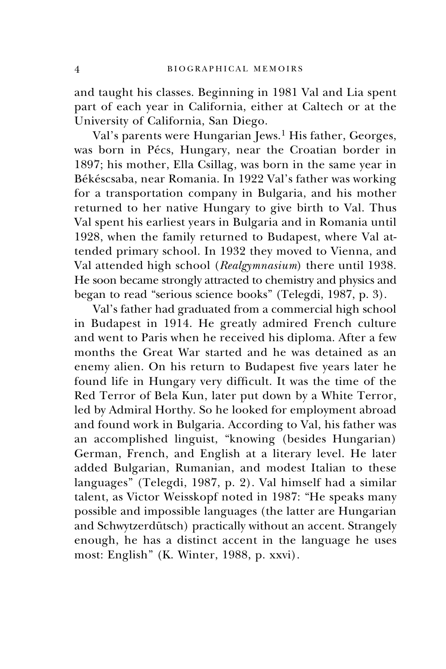and taught his classes. Beginning in 1981 Val and Lia spent part of each year in California, either at Caltech or at the University of California, San Diego.

Val's parents were Hungarian Jews.<sup>1</sup> His father, Georges, was born in Pécs, Hungary, near the Croatian border in 1897; his mother, Ella Csillag, was born in the same year in Békéscsaba, near Romania. In 1922 Val's father was working for a transportation company in Bulgaria, and his mother returned to her native Hungary to give birth to Val. Thus Val spent his earliest years in Bulgaria and in Romania until 1928, when the family returned to Budapest, where Val attended primary school. In 1932 they moved to Vienna, and Val attended high school (*Realgymnasium*) there until 1938. He soon became strongly attracted to chemistry and physics and began to read "serious science books" (Telegdi, 1987, p. 3).

Val's father had graduated from a commercial high school in Budapest in 1914. He greatly admired French culture and went to Paris when he received his diploma. After a few months the Great War started and he was detained as an enemy alien. On his return to Budapest five years later he found life in Hungary very difficult. It was the time of the Red Terror of Bela Kun, later put down by a White Terror, led by Admiral Horthy. So he looked for employment abroad and found work in Bulgaria. According to Val, his father was an accomplished linguist, "knowing (besides Hungarian) German, French, and English at a literary level. He later added Bulgarian, Rumanian, and modest Italian to these languages" (Telegdi, 1987, p. 2). Val himself had a similar talent, as Victor Weisskopf noted in 1987: "He speaks many possible and impossible languages (the latter are Hungarian and Schwytzerdütsch) practically without an accent. Strangely enough, he has a distinct accent in the language he uses most: English" (K. Winter, 1988, p. xxvi).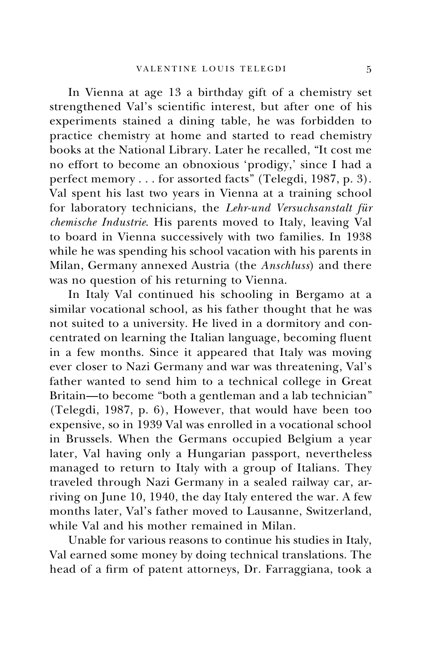In Vienna at age 13 a birthday gift of a chemistry set strengthened Val's scientific interest, but after one of his experiments stained a dining table, he was forbidden to practice chemistry at home and started to read chemistry books at the National Library. Later he recalled, "It cost me no effort to become an obnoxious 'prodigy,' since I had a perfect memory . . . for assorted facts" (Telegdi, 1987, p. 3). Val spent his last two years in Vienna at a training school for laboratory technicians, the *Lehr-und Versuchsanstalt für chemische Industrie*. His parents moved to Italy, leaving Val to board in Vienna successively with two families. In 1938 while he was spending his school vacation with his parents in Milan, Germany annexed Austria (the *Anschluss*) and there was no question of his returning to Vienna.

In Italy Val continued his schooling in Bergamo at a similar vocational school, as his father thought that he was not suited to a university. He lived in a dormitory and concentrated on learning the Italian language, becoming fluent in a few months. Since it appeared that Italy was moving ever closer to Nazi Germany and war was threatening, Val's father wanted to send him to a technical college in Great Britain—to become "both a gentleman and a lab technician" (Telegdi, 1987, p. 6), However, that would have been too expensive, so in 1939 Val was enrolled in a vocational school in Brussels. When the Germans occupied Belgium a year later, Val having only a Hungarian passport, nevertheless managed to return to Italy with a group of Italians. They traveled through Nazi Germany in a sealed railway car, arriving on June 10, 1940, the day Italy entered the war. A few months later, Val's father moved to Lausanne, Switzerland, while Val and his mother remained in Milan.

Unable for various reasons to continue his studies in Italy, Val earned some money by doing technical translations. The head of a firm of patent attorneys, Dr. Farraggiana, took a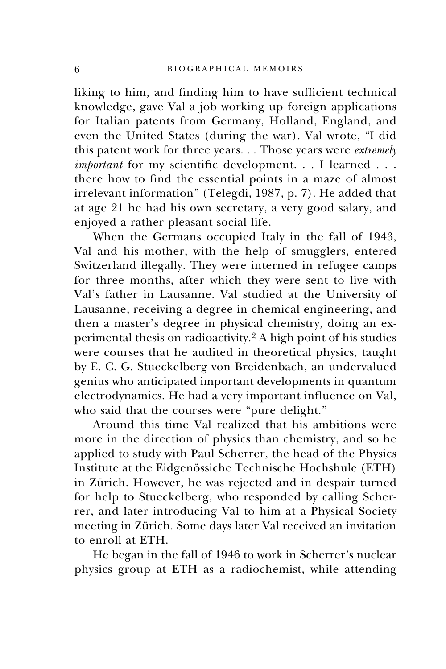liking to him, and finding him to have sufficient technical knowledge, gave Val a job working up foreign applications for Italian patents from Germany, Holland, England, and even the United States (during the war). Val wrote, "I did this patent work for three years. . . Those years were *extremely important* for my scientific development. . . I learned . . . there how to find the essential points in a maze of almost irrelevant information" (Telegdi, 1987, p. 7). He added that at age 21 he had his own secretary, a very good salary, and enjoyed a rather pleasant social life.

When the Germans occupied Italy in the fall of 1943, Val and his mother, with the help of smugglers, entered Switzerland illegally. They were interned in refugee camps for three months, after which they were sent to live with Val's father in Lausanne. Val studied at the University of Lausanne, receiving a degree in chemical engineering, and then a master's degree in physical chemistry, doing an experimental thesis on radioactivity.<sup>2</sup> A high point of his studies were courses that he audited in theoretical physics, taught by E. C. G. Stueckelberg von Breidenbach, an undervalued genius who anticipated important developments in quantum electrodynamics. He had a very important influence on Val, who said that the courses were "pure delight."

Around this time Val realized that his ambitions were more in the direction of physics than chemistry, and so he applied to study with Paul Scherrer, the head of the Physics Institute at the Eidgenössiche Technische Hochshule (ETH) in Zürich. However, he was rejected and in despair turned for help to Stueckelberg, who responded by calling Scherrer, and later introducing Val to him at a Physical Society meeting in Zürich. Some days later Val received an invitation to enroll at ETH.

He began in the fall of 1946 to work in Scherrer's nuclear physics group at ETH as a radiochemist, while attending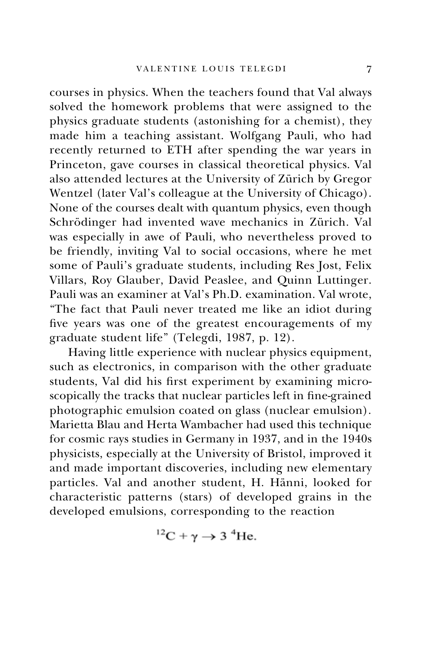courses in physics. When the teachers found that Val always solved the homework problems that were assigned to the physics graduate students (astonishing for a chemist), they made him a teaching assistant. Wolfgang Pauli, who had recently returned to ETH after spending the war years in Princeton, gave courses in classical theoretical physics. Val also attended lectures at the University of Zürich by Gregor Wentzel (later Val's colleague at the University of Chicago). None of the courses dealt with quantum physics, even though Schrödinger had invented wave mechanics in Zürich. Val was especially in awe of Pauli, who nevertheless proved to be friendly, inviting Val to social occasions, where he met some of Pauli's graduate students, including Res Jost, Felix Villars, Roy Glauber, David Peaslee, and Quinn Luttinger. Pauli was an examiner at Val's Ph.D. examination. Val wrote, "The fact that Pauli never treated me like an idiot during five years was one of the greatest encouragements of my graduate student life" (Telegdi, 1987, p. 12).

Having little experience with nuclear physics equipment, such as electronics, in comparison with the other graduate students, Val did his first experiment by examining microscopically the tracks that nuclear particles left in fine-grained photographic emulsion coated on glass (nuclear emulsion). Marietta Blau and Herta Wambacher had used this technique for cosmic rays studies in Germany in 1937, and in the 1940s physicists, especially at the University of Bristol, improved it and made important discoveries, including new elementary particles. Val and another student, H. Hänni, looked for characteristic patterns (stars) of developed grains in the developed emulsions, corresponding to the reaction

$$
{}^{12}C + \gamma \rightarrow 3 \ {}^{4}He.
$$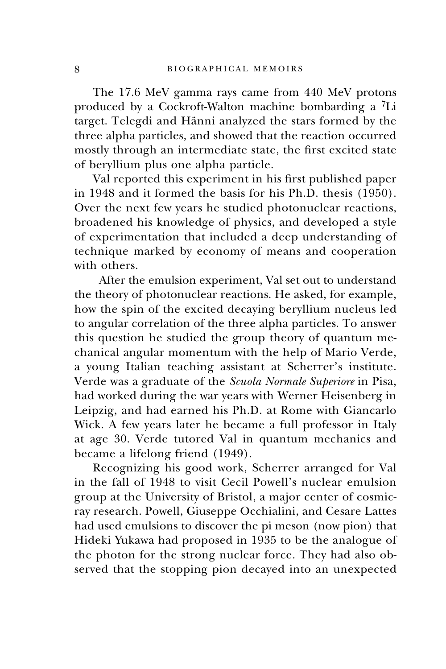The 17.6 MeV gamma rays came from 440 MeV protons produced by a Cockroft-Walton machine bombarding a 7Li target. Telegdi and Hänni analyzed the stars formed by the three alpha particles, and showed that the reaction occurred mostly through an intermediate state, the first excited state of beryllium plus one alpha particle.

Val reported this experiment in his first published paper in 1948 and it formed the basis for his Ph.D. thesis (1950). Over the next few years he studied photonuclear reactions, broadened his knowledge of physics, and developed a style of experimentation that included a deep understanding of technique marked by economy of means and cooperation with others.

 After the emulsion experiment, Val set out to understand the theory of photonuclear reactions. He asked, for example, how the spin of the excited decaying beryllium nucleus led to angular correlation of the three alpha particles. To answer this question he studied the group theory of quantum mechanical angular momentum with the help of Mario Verde, a young Italian teaching assistant at Scherrer's institute. Verde was a graduate of the *Scuola Normale Superiore* in Pisa, had worked during the war years with Werner Heisenberg in Leipzig, and had earned his Ph.D. at Rome with Giancarlo Wick. A few years later he became a full professor in Italy at age 30. Verde tutored Val in quantum mechanics and became a lifelong friend (1949).

Recognizing his good work, Scherrer arranged for Val in the fall of 1948 to visit Cecil Powell's nuclear emulsion group at the University of Bristol, a major center of cosmicray research. Powell, Giuseppe Occhialini, and Cesare Lattes had used emulsions to discover the pi meson (now pion) that Hideki Yukawa had proposed in 1935 to be the analogue of the photon for the strong nuclear force. They had also observed that the stopping pion decayed into an unexpected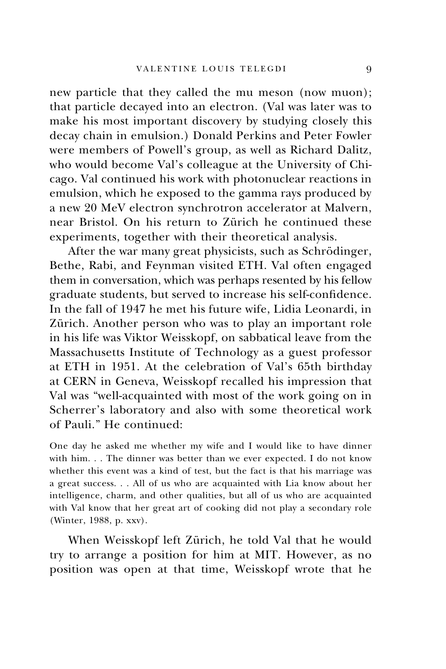new particle that they called the mu meson (now muon); that particle decayed into an electron. (Val was later was to make his most important discovery by studying closely this decay chain in emulsion.) Donald Perkins and Peter Fowler were members of Powell's group, as well as Richard Dalitz, who would become Val's colleague at the University of Chicago. Val continued his work with photonuclear reactions in emulsion, which he exposed to the gamma rays produced by a new 20 MeV electron synchrotron accelerator at Malvern, near Bristol. On his return to Zürich he continued these experiments, together with their theoretical analysis.

After the war many great physicists, such as Schrödinger, Bethe, Rabi, and Feynman visited ETH. Val often engaged them in conversation, which was perhaps resented by his fellow graduate students, but served to increase his self-confidence. In the fall of 1947 he met his future wife, Lidia Leonardi, in Zürich. Another person who was to play an important role in his life was Viktor Weisskopf, on sabbatical leave from the Massachusetts Institute of Technology as a guest professor at ETH in 1951. At the celebration of Val's 65th birthday at CERN in Geneva, Weisskopf recalled his impression that Val was "well-acquainted with most of the work going on in Scherrer's laboratory and also with some theoretical work of Pauli." He continued:

One day he asked me whether my wife and I would like to have dinner with him. . . The dinner was better than we ever expected. I do not know whether this event was a kind of test, but the fact is that his marriage was a great success. . . All of us who are acquainted with Lia know about her intelligence, charm, and other qualities, but all of us who are acquainted with Val know that her great art of cooking did not play a secondary role (Winter, 1988, p. xxv).

When Weisskopf left Zürich, he told Val that he would try to arrange a position for him at MIT. However, as no position was open at that time, Weisskopf wrote that he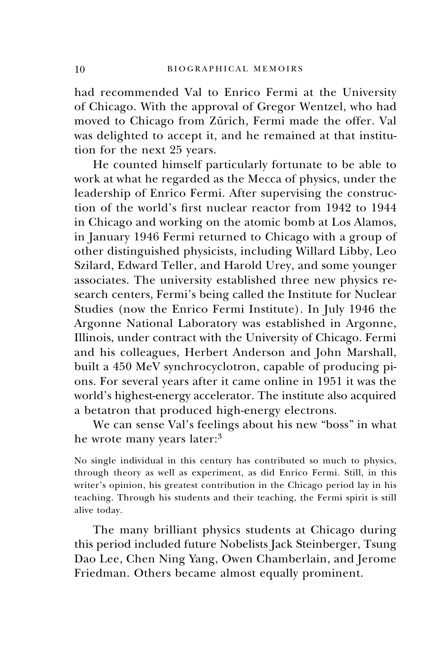had recommended Val to Enrico Fermi at the University of Chicago. With the approval of Gregor Wentzel, who had moved to Chicago from Zürich, Fermi made the offer. Val was delighted to accept it, and he remained at that institution for the next 25 years.

He counted himself particularly fortunate to be able to work at what he regarded as the Mecca of physics, under the leadership of Enrico Fermi. After supervising the construction of the world's first nuclear reactor from 1942 to 1944 in Chicago and working on the atomic bomb at Los Alamos, in January 1946 Fermi returned to Chicago with a group of other distinguished physicists, including Willard Libby, Leo Szilard, Edward Teller, and Harold Urey, and some younger associates. The university established three new physics research centers, Fermi's being called the Institute for Nuclear Studies (now the Enrico Fermi Institute). In July 1946 the Argonne National Laboratory was established in Argonne, Illinois, under contract with the University of Chicago. Fermi and his colleagues, Herbert Anderson and John Marshall, built a 450 MeV synchrocyclotron, capable of producing pions. For several years after it came online in 1951 it was the world's highest-energy accelerator. The institute also acquired a betatron that produced high-energy electrons.

We can sense Val's feelings about his new "boss" in what he wrote many years later:<sup>3</sup>

No single individual in this century has contributed so much to physics, through theory as well as experiment, as did Enrico Fermi. Still, in this writer's opinion, his greatest contribution in the Chicago period lay in his teaching. Through his students and their teaching, the Fermi spirit is still alive today.

The many brilliant physics students at Chicago during this period included future Nobelists Jack Steinberger, Tsung Dao Lee, Chen Ning Yang, Owen Chamberlain, and Jerome Friedman. Others became almost equally prominent.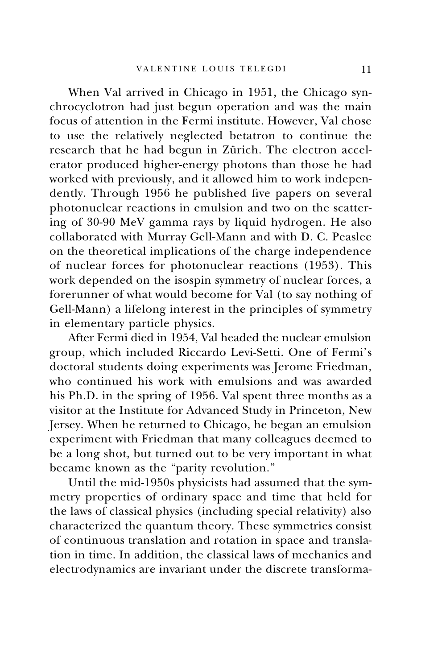When Val arrived in Chicago in 1951, the Chicago synchrocyclotron had just begun operation and was the main focus of attention in the Fermi institute. However, Val chose to use the relatively neglected betatron to continue the research that he had begun in Zürich. The electron accelerator produced higher-energy photons than those he had worked with previously, and it allowed him to work independently. Through 1956 he published five papers on several photonuclear reactions in emulsion and two on the scattering of 30-90 MeV gamma rays by liquid hydrogen. He also collaborated with Murray Gell-Mann and with D. C. Peaslee on the theoretical implications of the charge independence of nuclear forces for photonuclear reactions (1953). This work depended on the isospin symmetry of nuclear forces, a forerunner of what would become for Val (to say nothing of Gell-Mann) a lifelong interest in the principles of symmetry in elementary particle physics.

After Fermi died in 1954, Val headed the nuclear emulsion group, which included Riccardo Levi-Setti. One of Fermi's doctoral students doing experiments was Jerome Friedman, who continued his work with emulsions and was awarded his Ph.D. in the spring of 1956. Val spent three months as a visitor at the Institute for Advanced Study in Princeton, New Jersey. When he returned to Chicago, he began an emulsion experiment with Friedman that many colleagues deemed to be a long shot, but turned out to be very important in what became known as the "parity revolution."

Until the mid-1950s physicists had assumed that the symmetry properties of ordinary space and time that held for the laws of classical physics (including special relativity) also characterized the quantum theory. These symmetries consist of continuous translation and rotation in space and translation in time. In addition, the classical laws of mechanics and electrodynamics are invariant under the discrete transforma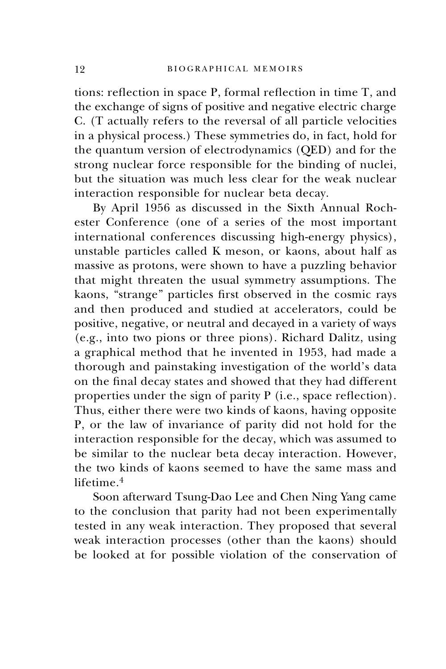tions: reflection in space P, formal reflection in time T, and the exchange of signs of positive and negative electric charge C. (T actually refers to the reversal of all particle velocities in a physical process.) These symmetries do, in fact, hold for the quantum version of electrodynamics (QED) and for the strong nuclear force responsible for the binding of nuclei, but the situation was much less clear for the weak nuclear interaction responsible for nuclear beta decay.

By April 1956 as discussed in the Sixth Annual Rochester Conference (one of a series of the most important international conferences discussing high-energy physics), unstable particles called K meson, or kaons, about half as massive as protons, were shown to have a puzzling behavior that might threaten the usual symmetry assumptions. The kaons, "strange" particles first observed in the cosmic rays and then produced and studied at accelerators, could be positive, negative, or neutral and decayed in a variety of ways (e.g., into two pions or three pions). Richard Dalitz, using a graphical method that he invented in 1953, had made a thorough and painstaking investigation of the world's data on the final decay states and showed that they had different properties under the sign of parity P (i.e., space reflection). Thus, either there were two kinds of kaons, having opposite P, or the law of invariance of parity did not hold for the interaction responsible for the decay, which was assumed to be similar to the nuclear beta decay interaction. However, the two kinds of kaons seemed to have the same mass and lifetime.<sup>4</sup>

Soon afterward Tsung-Dao Lee and Chen Ning Yang came to the conclusion that parity had not been experimentally tested in any weak interaction. They proposed that several weak interaction processes (other than the kaons) should be looked at for possible violation of the conservation of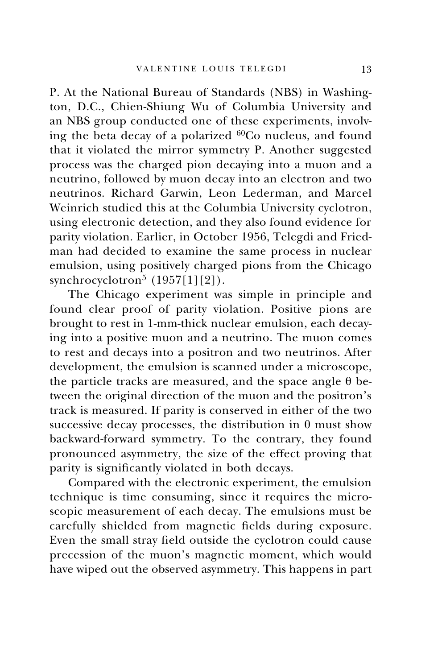P. At the National Bureau of Standards (NBS) in Washington, D.C., Chien-Shiung Wu of Columbia University and an NBS group conducted one of these experiments, involving the beta decay of a polarized 60Co nucleus, and found that it violated the mirror symmetry P. Another suggested process was the charged pion decaying into a muon and a neutrino, followed by muon decay into an electron and two neutrinos. Richard Garwin, Leon Lederman, and Marcel Weinrich studied this at the Columbia University cyclotron, using electronic detection, and they also found evidence for parity violation. Earlier, in October 1956, Telegdi and Friedman had decided to examine the same process in nuclear emulsion, using positively charged pions from the Chicago synchrocyclotron<sup>5</sup>  $(1957[1][2])$ .

The Chicago experiment was simple in principle and found clear proof of parity violation. Positive pions are brought to rest in 1-mm-thick nuclear emulsion, each decaying into a positive muon and a neutrino. The muon comes to rest and decays into a positron and two neutrinos. After development, the emulsion is scanned under a microscope, the particle tracks are measured, and the space angle  $\theta$  between the original direction of the muon and the positron's track is measured. If parity is conserved in either of the two successive decay processes, the distribution in  $\theta$  must show backward-forward symmetry. To the contrary, they found pronounced asymmetry, the size of the effect proving that parity is significantly violated in both decays.

Compared with the electronic experiment, the emulsion technique is time consuming, since it requires the microscopic measurement of each decay. The emulsions must be carefully shielded from magnetic fields during exposure. Even the small stray field outside the cyclotron could cause precession of the muon's magnetic moment, which would have wiped out the observed asymmetry. This happens in part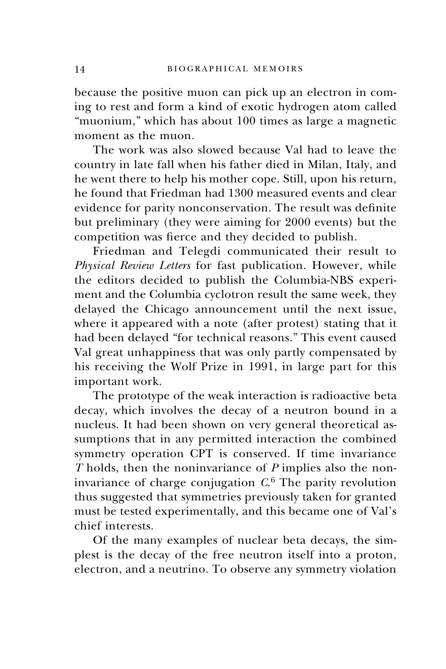because the positive muon can pick up an electron in coming to rest and form a kind of exotic hydrogen atom called "muonium," which has about 100 times as large a magnetic moment as the muon.

The work was also slowed because Val had to leave the country in late fall when his father died in Milan, Italy, and he went there to help his mother cope. Still, upon his return, he found that Friedman had 1300 measured events and clear evidence for parity nonconservation. The result was definite but preliminary (they were aiming for 2000 events) but the competition was fierce and they decided to publish.

Friedman and Telegdi communicated their result to *Physical Review Letters* for fast publication. However, while the editors decided to publish the Columbia-NBS experiment and the Columbia cyclotron result the same week, they delayed the Chicago announcement until the next issue, where it appeared with a note (after protest) stating that it had been delayed "for technical reasons." This event caused Val great unhappiness that was only partly compensated by his receiving the Wolf Prize in 1991, in large part for this important work.

The prototype of the weak interaction is radioactive beta decay, which involves the decay of a neutron bound in a nucleus. It had been shown on very general theoretical assumptions that in any permitted interaction the combined symmetry operation CPT is conserved. If time invariance *T* holds, then the noninvariance of *P* implies also the noninvariance of charge conjugation *C*. <sup>6</sup> The parity revolution thus suggested that symmetries previously taken for granted must be tested experimentally, and this became one of Val's chief interests.

Of the many examples of nuclear beta decays, the simplest is the decay of the free neutron itself into a proton, electron, and a neutrino. To observe any symmetry violation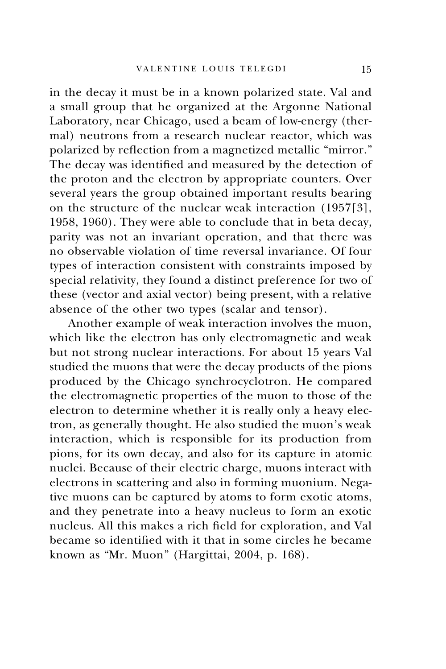in the decay it must be in a known polarized state. Val and a small group that he organized at the Argonne National Laboratory, near Chicago, used a beam of low-energy (thermal) neutrons from a research nuclear reactor, which was polarized by reflection from a magnetized metallic "mirror." The decay was identified and measured by the detection of the proton and the electron by appropriate counters. Over several years the group obtained important results bearing on the structure of the nuclear weak interaction (1957[3], 1958, 1960). They were able to conclude that in beta decay, parity was not an invariant operation, and that there was no observable violation of time reversal invariance. Of four types of interaction consistent with constraints imposed by special relativity, they found a distinct preference for two of these (vector and axial vector) being present, with a relative absence of the other two types (scalar and tensor).

Another example of weak interaction involves the muon, which like the electron has only electromagnetic and weak but not strong nuclear interactions. For about 15 years Val studied the muons that were the decay products of the pions produced by the Chicago synchrocyclotron. He compared the electromagnetic properties of the muon to those of the electron to determine whether it is really only a heavy electron, as generally thought. He also studied the muon's weak interaction, which is responsible for its production from pions, for its own decay, and also for its capture in atomic nuclei. Because of their electric charge, muons interact with electrons in scattering and also in forming muonium. Negative muons can be captured by atoms to form exotic atoms, and they penetrate into a heavy nucleus to form an exotic nucleus. All this makes a rich field for exploration, and Val became so identified with it that in some circles he became known as "Mr. Muon" (Hargittai, 2004, p. 168).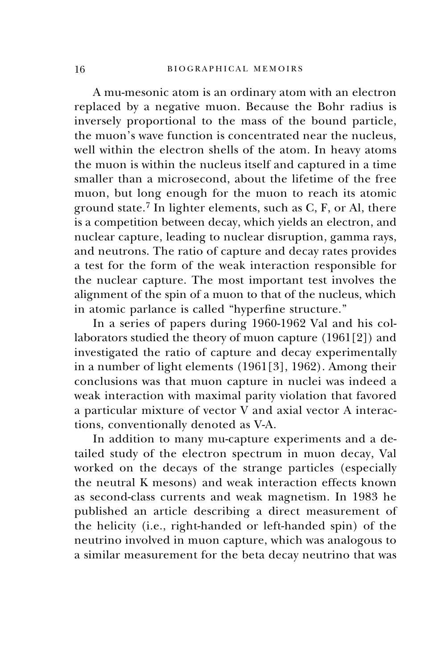A mu-mesonic atom is an ordinary atom with an electron replaced by a negative muon. Because the Bohr radius is inversely proportional to the mass of the bound particle, the muon's wave function is concentrated near the nucleus, well within the electron shells of the atom. In heavy atoms the muon is within the nucleus itself and captured in a time smaller than a microsecond, about the lifetime of the free muon, but long enough for the muon to reach its atomic ground state.<sup>7</sup> In lighter elements, such as  $C$ ,  $F$ , or Al, there is a competition between decay, which yields an electron, and nuclear capture, leading to nuclear disruption, gamma rays, and neutrons. The ratio of capture and decay rates provides a test for the form of the weak interaction responsible for the nuclear capture. The most important test involves the alignment of the spin of a muon to that of the nucleus, which in atomic parlance is called "hyperfine structure."

In a series of papers during 1960-1962 Val and his collaborators studied the theory of muon capture (1961[2]) and investigated the ratio of capture and decay experimentally in a number of light elements (1961[3], 1962). Among their conclusions was that muon capture in nuclei was indeed a weak interaction with maximal parity violation that favored a particular mixture of vector V and axial vector A interactions, conventionally denoted as V-A.

In addition to many mu-capture experiments and a detailed study of the electron spectrum in muon decay, Val worked on the decays of the strange particles (especially the neutral K mesons) and weak interaction effects known as second-class currents and weak magnetism. In 1983 he published an article describing a direct measurement of the helicity (i.e., right-handed or left-handed spin) of the neutrino involved in muon capture, which was analogous to a similar measurement for the beta decay neutrino that was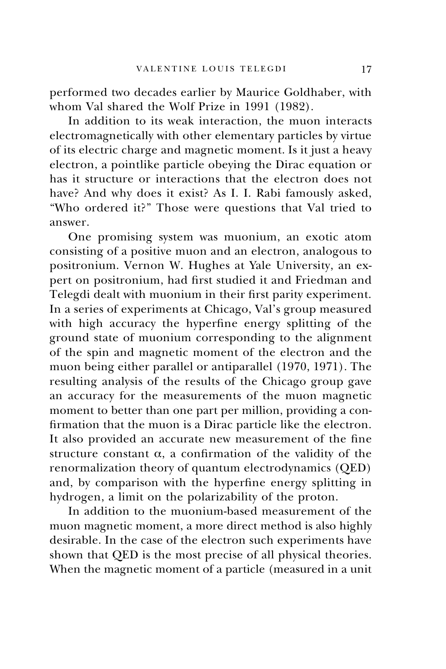performed two decades earlier by Maurice Goldhaber, with whom Val shared the Wolf Prize in 1991 (1982).

In addition to its weak interaction, the muon interacts electromagnetically with other elementary particles by virtue of its electric charge and magnetic moment. Is it just a heavy electron, a pointlike particle obeying the Dirac equation or has it structure or interactions that the electron does not have? And why does it exist? As I. I. Rabi famously asked, "Who ordered it?" Those were questions that Val tried to answer.

One promising system was muonium, an exotic atom consisting of a positive muon and an electron, analogous to positronium. Vernon W. Hughes at Yale University, an expert on positronium, had first studied it and Friedman and Telegdi dealt with muonium in their first parity experiment. In a series of experiments at Chicago, Val's group measured with high accuracy the hyperfine energy splitting of the ground state of muonium corresponding to the alignment of the spin and magnetic moment of the electron and the muon being either parallel or antiparallel (1970, 1971). The resulting analysis of the results of the Chicago group gave an accuracy for the measurements of the muon magnetic moment to better than one part per million, providing a confirmation that the muon is a Dirac particle like the electron. It also provided an accurate new measurement of the fine structure constant  $\alpha$ , a confirmation of the validity of the renormalization theory of quantum electrodynamics (QED) and, by comparison with the hyperfine energy splitting in hydrogen, a limit on the polarizability of the proton.

In addition to the muonium-based measurement of the muon magnetic moment, a more direct method is also highly desirable. In the case of the electron such experiments have shown that QED is the most precise of all physical theories. When the magnetic moment of a particle (measured in a unit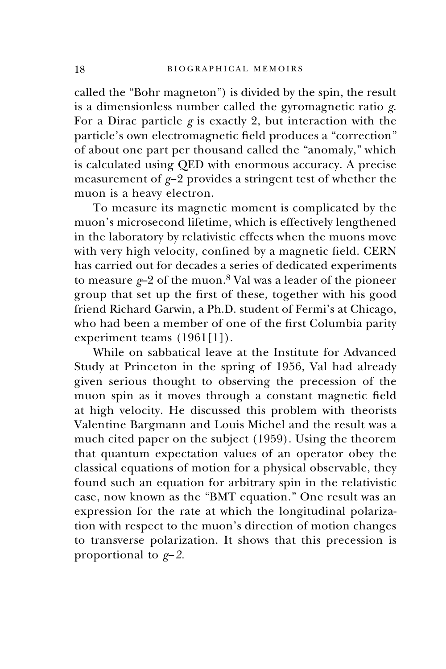called the "Bohr magneton") is divided by the spin, the result is a dimensionless number called the gyromagnetic ratio *g*. For a Dirac particle *g* is exactly 2, but interaction with the particle's own electromagnetic field produces a "correction" of about one part per thousand called the "anomaly," which is calculated using QED with enormous accuracy. A precise measurement of *g*−2 provides a stringent test of whether the muon is a heavy electron.

To measure its magnetic moment is complicated by the muon's microsecond lifetime, which is effectively lengthened in the laboratory by relativistic effects when the muons move with very high velocity, confined by a magnetic field. CERN has carried out for decades a series of dedicated experiments to measure *g*-2 of the muon.<sup>8</sup> Val was a leader of the pioneer group that set up the first of these, together with his good friend Richard Garwin, a Ph.D. student of Fermi's at Chicago, who had been a member of one of the first Columbia parity experiment teams (1961[1]).

While on sabbatical leave at the Institute for Advanced Study at Princeton in the spring of 1956, Val had already given serious thought to observing the precession of the muon spin as it moves through a constant magnetic field at high velocity. He discussed this problem with theorists Valentine Bargmann and Louis Michel and the result was a much cited paper on the subject (1959). Using the theorem that quantum expectation values of an operator obey the classical equations of motion for a physical observable, they found such an equation for arbitrary spin in the relativistic case, now known as the "BMT equation." One result was an expression for the rate at which the longitudinal polarization with respect to the muon's direction of motion changes to transverse polarization. It shows that this precession is proportional to *g*−*2.*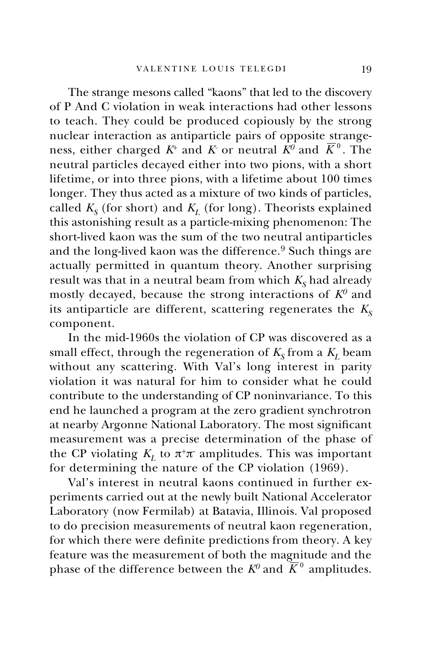The strange mesons called "kaons" that led to the discovery of P And C violation in weak interactions had other lessons to teach. They could be produced copiously by the strong nuclear interaction as antiparticle pairs of opposite strangeness, either charged  $K^{\scriptscriptstyle +}$  and  $K$  or neutral  $\bar{K}^0$  and  $\bar{K}^0$ . The neutral particles decayed either into two pions, with a short lifetime, or into three pions, with a lifetime about 100 times longer. They thus acted as a mixture of two kinds of particles, called  $K_S$  (for short) and  $K_L$  (for long). Theorists explained this astonishing result as a particle-mixing phenomenon: The short-lived kaon was the sum of the two neutral antiparticles and the long-lived kaon was the difference.<sup>9</sup> Such things are actually permitted in quantum theory. Another surprising result was that in a neutral beam from which  $K<sub>s</sub>$  had already mostly decayed, because the strong interactions of *K0* and its antiparticle are different, scattering regenerates the  $K_s$ component.

In the mid-1960s the violation of CP was discovered as a small effect, through the regeneration of  $K_S$  from a  $K_L$  beam without any scattering. With Val's long interest in parity violation it was natural for him to consider what he could contribute to the understanding of CP noninvariance. To this end he launched a program at the zero gradient synchrotron at nearby Argonne National Laboratory. The most significant measurement was a precise determination of the phase of the CP violating  $K_L$  to  $\pi^+\pi^-$  amplitudes. This was important for determining the nature of the CP violation (1969).

Val's interest in neutral kaons continued in further experiments carried out at the newly built National Accelerator Laboratory (now Fermilab) at Batavia, Illinois. Val proposed to do precision measurements of neutral kaon regeneration, for which there were definite predictions from theory. A key feature was the measurement of both the magnitude and the phase of the difference between the  $K^0$  and  $\overline{K}^0$  amplitudes.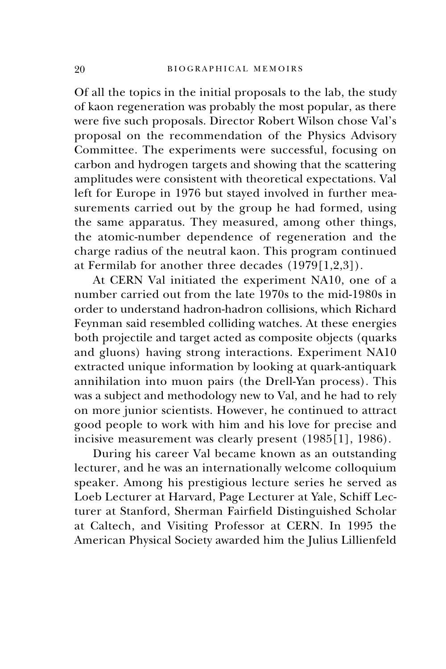Of all the topics in the initial proposals to the lab, the study of kaon regeneration was probably the most popular, as there were five such proposals. Director Robert Wilson chose Val's proposal on the recommendation of the Physics Advisory Committee. The experiments were successful, focusing on carbon and hydrogen targets and showing that the scattering amplitudes were consistent with theoretical expectations. Val left for Europe in 1976 but stayed involved in further measurements carried out by the group he had formed, using the same apparatus. They measured, among other things, the atomic-number dependence of regeneration and the charge radius of the neutral kaon. This program continued at Fermilab for another three decades (1979[1,2,3]).

At CERN Val initiated the experiment NA10, one of a number carried out from the late 1970s to the mid-1980s in order to understand hadron-hadron collisions, which Richard Feynman said resembled colliding watches. At these energies both projectile and target acted as composite objects (quarks and gluons) having strong interactions. Experiment NA10 extracted unique information by looking at quark-antiquark annihilation into muon pairs (the Drell-Yan process). This was a subject and methodology new to Val, and he had to rely on more junior scientists. However, he continued to attract good people to work with him and his love for precise and incisive measurement was clearly present (1985[1], 1986).

During his career Val became known as an outstanding lecturer, and he was an internationally welcome colloquium speaker. Among his prestigious lecture series he served as Loeb Lecturer at Harvard, Page Lecturer at Yale, Schiff Lecturer at Stanford, Sherman Fairfield Distinguished Scholar at Caltech, and Visiting Professor at CERN. In 1995 the American Physical Society awarded him the Julius Lillienfeld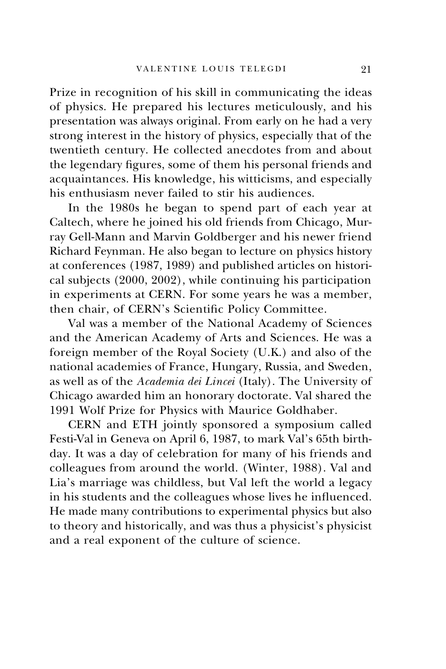Prize in recognition of his skill in communicating the ideas of physics. He prepared his lectures meticulously, and his presentation was always original. From early on he had a very strong interest in the history of physics, especially that of the twentieth century. He collected anecdotes from and about the legendary figures, some of them his personal friends and acquaintances. His knowledge, his witticisms, and especially his enthusiasm never failed to stir his audiences.

In the 1980s he began to spend part of each year at Caltech, where he joined his old friends from Chicago, Murray Gell-Mann and Marvin Goldberger and his newer friend Richard Feynman. He also began to lecture on physics history at conferences (1987, 1989) and published articles on historical subjects (2000, 2002), while continuing his participation in experiments at CERN. For some years he was a member, then chair, of CERN's Scientific Policy Committee.

Val was a member of the National Academy of Sciences and the American Academy of Arts and Sciences. He was a foreign member of the Royal Society (U.K.) and also of the national academies of France, Hungary, Russia, and Sweden, as well as of the *Academia dei Lincei* (Italy). The University of Chicago awarded him an honorary doctorate. Val shared the 1991 Wolf Prize for Physics with Maurice Goldhaber.

CERN and ETH jointly sponsored a symposium called Festi-Val in Geneva on April 6, 1987, to mark Val's 65th birthday. It was a day of celebration for many of his friends and colleagues from around the world. (Winter, 1988). Val and Lia's marriage was childless, but Val left the world a legacy in his students and the colleagues whose lives he influenced. He made many contributions to experimental physics but also to theory and historically, and was thus a physicist's physicist and a real exponent of the culture of science.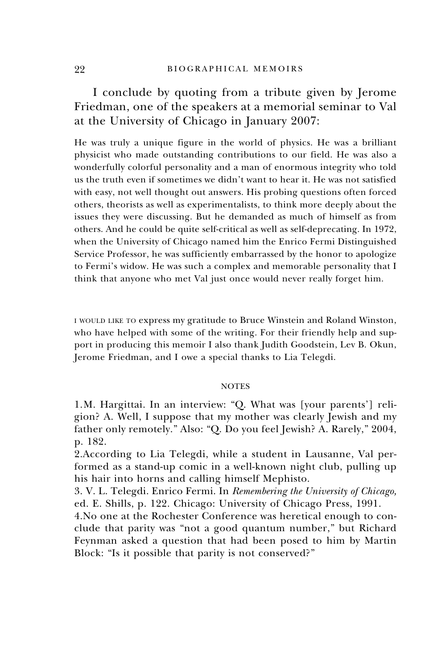I conclude by quoting from a tribute given by Jerome Friedman, one of the speakers at a memorial seminar to Val at the University of Chicago in January 2007:

He was truly a unique figure in the world of physics. He was a brilliant physicist who made outstanding contributions to our field. He was also a wonderfully colorful personality and a man of enormous integrity who told us the truth even if sometimes we didn't want to hear it. He was not satisfied with easy, not well thought out answers. His probing questions often forced others, theorists as well as experimentalists, to think more deeply about the issues they were discussing. But he demanded as much of himself as from others. And he could be quite self-critical as well as self-deprecating. In 1972, when the University of Chicago named him the Enrico Fermi Distinguished Service Professor, he was sufficiently embarrassed by the honor to apologize to Fermi's widow. He was such a complex and memorable personality that I think that anyone who met Val just once would never really forget him.

I WOULD LIKE TO express my gratitude to Bruce Winstein and Roland Winston, who have helped with some of the writing. For their friendly help and support in producing this memoir I also thank Judith Goodstein, Lev B. Okun, Jerome Friedman, and I owe a special thanks to Lia Telegdi.

## **NOTES**

1. M. Hargittai. In an interview: "Q. What was [your parents'] religion? A. Well, I suppose that my mother was clearly Jewish and my father only remotely." Also: "Q. Do you feel Jewish? A. Rarely," 2004, p. 182.

2. According to Lia Telegdi, while a student in Lausanne, Val performed as a stand-up comic in a well-known night club, pulling up his hair into horns and calling himself Mephisto.

3. V. L. Telegdi. Enrico Fermi. In *Remembering the University of Chicago,* ed. E. Shills, p. 122. Chicago: University of Chicago Press, 1991.

4. No one at the Rochester Conference was heretical enough to conclude that parity was "not a good quantum number," but Richard Feynman asked a question that had been posed to him by Martin Block: "Is it possible that parity is not conserved?"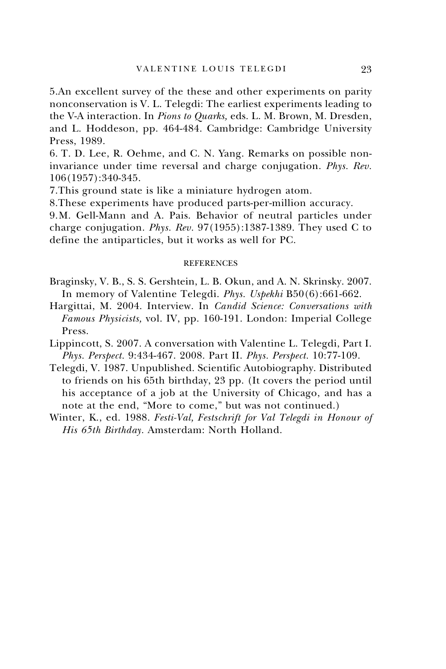5. An excellent survey of the these and other experiments on parity nonconservation is V. L. Telegdi: The earliest experiments leading to the V-A interaction. In *Pions to Quarks,* eds. L. M. Brown, M. Dresden, and L. Hoddeson, pp. 464-484. Cambridge: Cambridge University Press, 1989.

6. T. D. Lee, R. Oehme, and C. N. Yang. Remarks on possible noninvariance under time reversal and charge conjugation. *Phys. Rev.* 106(1957):340-345.

7. This ground state is like a miniature hydrogen atom.

8. These experiments have produced parts-per-million accuracy.

9. M. Gell-Mann and A. Pais. Behavior of neutral particles under charge conjugation. *Phys. Rev.* 97(1955):1387-1389. They used C to define the antiparticles, but it works as well for PC.

## REFERENCES

- Braginsky, V. B., S. S. Gershtein, L. B. Okun, and A. N. Skrinsky. 2007. In memory of Valentine Telegdi. *Phys. Uspekhi* B50(6):661-662.
- Hargittai, M. 2004. Interview. In *Candid Science: Conversations with Famous Physicists,* vol. IV, pp. 160-191. London: Imperial College Press.
- Lippincott, S. 2007. A conversation with Valentine L. Telegdi, Part I. *Phys. Perspect.* 9:434-467. 2008. Part II. *Phys. Perspect.* 10:77-109.
- Telegdi, V. 1987. Unpublished. Scientific Autobiography. Distributed to friends on his 65th birthday, 23 pp. (It covers the period until his acceptance of a job at the University of Chicago, and has a note at the end, "More to come," but was not continued.)
- Winter, K., ed. 1988. *Festi-Val, Festschrift for Val Telegdi in Honour of His 65th Birthday.* Amsterdam: North Holland.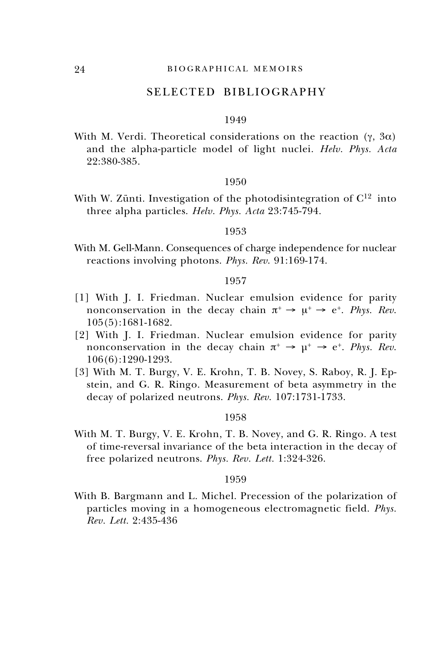## SELECTED BIBLIOGRAPHY

## 1949

With M. Verdi. Theoretical considerations on the reaction  $(\gamma, 3\alpha)$ and the alpha-particle model of light nuclei. *Helv. Phys. Acta* 22:380-385.

## 1950

With W. Zünti. Investigation of the photodisintegration of  $C^{12}$  into three alpha particles. *Helv. Phys. Acta* 23:745-794.

## 1953

With M. Gell-Mann. Consequences of charge independence for nuclear reactions involving photons. *Phys. Rev*. 91:169-174.

## 1957

- [1] With J. I. Friedman. Nuclear emulsion evidence for parity nonconservation in the decay chain  $\pi^+ \rightarrow \mu^+ \rightarrow e^+$ . *Phys. Rev.* 105(5):1681-1682.
- [2] With J. I. Friedman. Nuclear emulsion evidence for parity nonconservation in the decay chain  $\pi^+ \to \mu^+ \to e^+$ . *Phys. Rev.* 106(6):1290-1293.
- [3] With M. T. Burgy, V. E. Krohn, T. B. Novey, S. Raboy, R. J. Epstein, and G. R. Ringo. Measurement of beta asymmetry in the decay of polarized neutrons. *Phys. Rev*. 107:1731-1733.

## 1958

With M. T. Burgy, V. E. Krohn, T. B. Novey, and G. R. Ringo. A test of time-reversal invariance of the beta interaction in the decay of free polarized neutrons. *Phys. Rev. Lett.* 1:324-326.

## 1959

With B. Bargmann and L. Michel. Precession of the polarization of particles moving in a homogeneous electromagnetic field. *Phys. Rev. Lett.* 2:435-436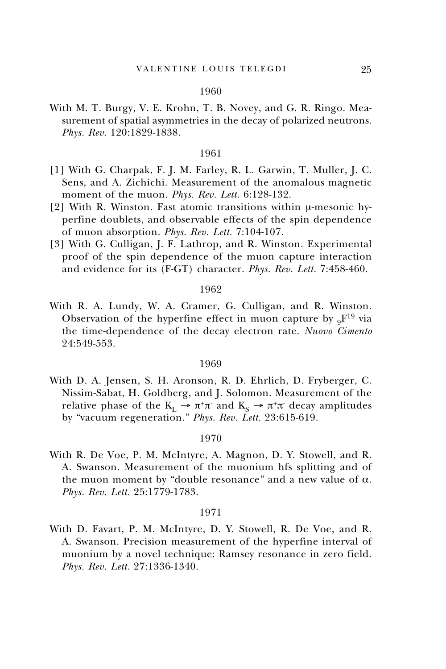#### 1960

With M. T. Burgy, V. E. Krohn, T. B. Novey, and G. R. Ringo. Measurement of spatial asymmetries in the decay of polarized neutrons. *Phys. Rev*. 120:1829-1838.

#### 1961

- [1] With G. Charpak, F. J. M. Farley, R. L. Garwin, T. Muller, J. C. Sens, and A. Zichichi. Measurement of the anomalous magnetic moment of the muon. *Phys. Rev. Lett.* 6:128-132.
- [2] With R. Winston. Fast atomic transitions within µ-mesonic hyperfine doublets, and observable effects of the spin dependence of muon absorption. *Phys. Rev. Lett.* 7:104-107.
- [3] With G. Culligan, J. F. Lathrop, and R. Winston. Experimental proof of the spin dependence of the muon capture interaction and evidence for its (F-GT) character. *Phys. Rev. Lett.* 7:458-460.

#### 1962

With R. A. Lundy, W. A. Cramer, G. Culligan, and R. Winston. Observation of the hyperfine effect in muon capture by  $_9F^{19}$  via the time-dependence of the decay electron rate. *Nuovo Cimento* 24:549-553.

#### 1969

With D. A. Jensen, S. H. Aronson, R. D. Ehrlich, D. Fryberger, C. Nissim-Sabat, H. Goldberg, and J. Solomon. Measurement of the relative phase of the  $K_L \rightarrow \pi^+\pi^-$  and  $K_S \rightarrow \pi^+\pi^-$  decay amplitudes by "vacuum regeneration." *Phys. Rev. Lett.* 23:615-619.

## 1970

With R. De Voe, P. M. McIntyre, A. Magnon, D. Y. Stowell, and R. A. Swanson. Measurement of the muonium hfs splitting and of the muon moment by "double resonance" and a new value of  $α$ . *Phys. Rev. Lett.* 25:1779-1783.

#### 1971

With D. Favart, P. M. McIntyre, D. Y. Stowell, R. De Voe, and R. A. Swanson. Precision measurement of the hyperfine interval of muonium by a novel technique: Ramsey resonance in zero field. *Phys. Rev. Lett.* 27:1336-1340.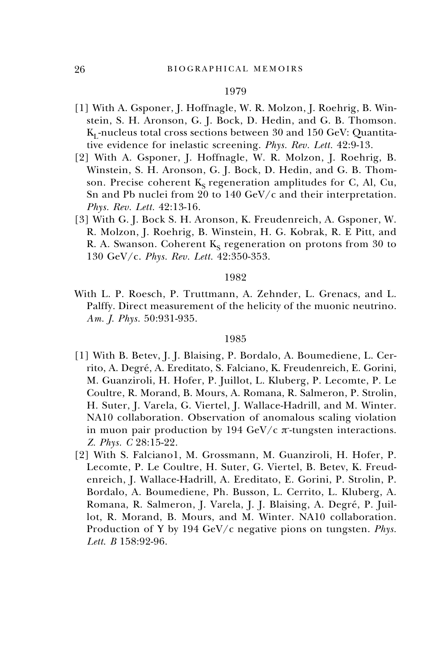#### 1979

- [1] With A. Gsponer, J. Hoffnagle, W. R. Molzon, J. Roehrig, B. Winstein, S. H. Aronson, G. J. Bock, D. Hedin, and G. B. Thomson.  $K_I$ -nucleus total cross sections between 30 and 150 GeV: Quantitative evidence for inelastic screening. *Phys. Rev. Lett.* 42:9-13.
- [2] With A. Gsponer, J. Hoffnagle, W. R. Molzon, J. Roehrig, B. Winstein, S. H. Aronson, G. J. Bock, D. Hedin, and G. B. Thomson. Precise coherent  $K_s$  regeneration amplitudes for C, Al, Cu, Sn and Pb nuclei from 20 to 140 GeV/c and their interpretation. *Phys. Rev. Lett.* 42:13-16.
- [3] With G. J. Bock S. H. Aronson, K. Freudenreich, A. Gsponer, W. R. Molzon, J. Roehrig, B. Winstein, H. G. Kobrak, R. E Pitt, and R. A. Swanson. Coherent  $K_S$  regeneration on protons from 30 to 130 GeV/c. *Phys. Rev. Lett.* 42:350-353.

#### 1982

With L. P. Roesch, P. Truttmann, A. Zehnder, L. Grenacs, and L. Palffy. Direct measurement of the helicity of the muonic neutrino. *Am. J. Phys.* 50:931-935.

## 1985

- [1] With B. Betev, J. J. Blaising, P. Bordalo, A. Boumediene, L. Cerrito, A. Degré, A. Ereditato, S. Falciano, K. Freudenreich, E. Gorini, M. Guanziroli, H. Hofer, P. Juillot, L. Kluberg, P. Lecomte, P. Le Coultre, R. Morand, B. Mours, A. Romana, R. Salmeron, P. Strolin, H. Suter, J. Varela, G. Viertel, J. Wallace-Hadrill, and M. Winter. NA10 collaboration. Observation of anomalous scaling violation in muon pair production by 194  $GeV/c$   $\pi$ -tungsten interactions. *Z. Phys. C* 28:15-22.
- [2] With S. Falciano1, M. Grossmann, M. Guanziroli, H. Hofer, P. Lecomte, P. Le Coultre, H. Suter, G. Viertel, B. Betev, K. Freudenreich, J. Wallace-Hadrill, A. Ereditato, E. Gorini, P. Strolin, P. Bordalo, A. Boumediene, Ph. Busson, L. Cerrito, L. Kluberg, A. Romana, R. Salmeron, J. Varela, J. J. Blaising, A. Degré, P. Juillot, R. Morand, B. Mours, and M. Winter. NA10 collaboration. Production of Υ by 194 GeV/c negative pions on tungsten. *Phys. Lett*. *B* 158:92-96.